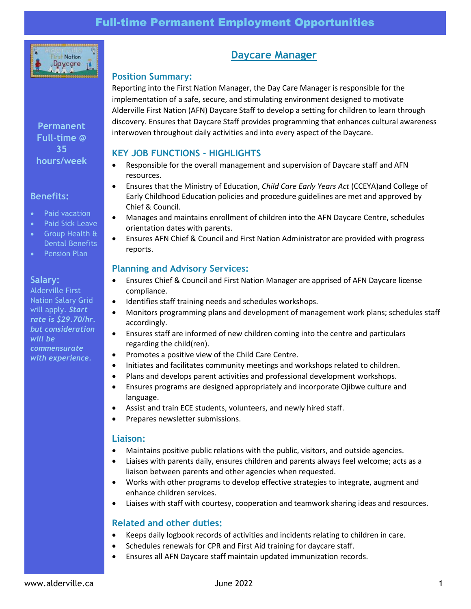

**Permanent Full-time @ 35 hours/week**

### **Benefits:**

- Paid vacation
- Paid Sick Leave
- Group Health & Dental Benefits
- Pension Plan

### **Salary:**

Alderville First Nation Salary Grid will apply. *Start rate is \$29.70/hr. but consideration will be commensurate with experience.*

# **Daycare Manager**

### **Position Summary:**

Reporting into the First Nation Manager, the Day Care Manager is responsible for the implementation of a safe, secure, and stimulating environment designed to motivate Alderville First Nation (AFN) Daycare Staff to develop a setting for children to learn through discovery. Ensures that Daycare Staff provides programming that enhances cultural awareness interwoven throughout daily activities and into every aspect of the Daycare.

# **KEY JOB FUNCTIONS - HIGHLIGHTS**

- Responsible for the overall management and supervision of Daycare staff and AFN resources.
- Ensures that the Ministry of Education, *Child Care Early Years Act* (CCEYA)and College of Early Childhood Education policies and procedure guidelines are met and approved by Chief & Council.
- Manages and maintains enrollment of children into the AFN Daycare Centre, schedules orientation dates with parents.
- Ensures AFN Chief & Council and First Nation Administrator are provided with progress reports.

# **Planning and Advisory Services:**

- Ensures Chief & Council and First Nation Manager are apprised of AFN Daycare license compliance.
- Identifies staff training needs and schedules workshops.
- Monitors programming plans and development of management work plans; schedules staff accordingly.
- Ensures staff are informed of new children coming into the centre and particulars regarding the child(ren).
- Promotes a positive view of the Child Care Centre.
- Initiates and facilitates community meetings and workshops related to children.
- Plans and develops parent activities and professional development workshops.
- Ensures programs are designed appropriately and incorporate Ojibwe culture and language.
- Assist and train ECE students, volunteers, and newly hired staff.
- Prepares newsletter submissions.

### **Liaison:**

- Maintains positive public relations with the public, visitors, and outside agencies.
- Liaises with parents daily, ensures children and parents always feel welcome; acts as a liaison between parents and other agencies when requested.
- Works with other programs to develop effective strategies to integrate, augment and enhance children services.
- Liaises with staff with courtesy, cooperation and teamwork sharing ideas and resources.

# **Related and other duties:**

- Keeps daily logbook records of activities and incidents relating to children in care.
- Schedules renewals for CPR and First Aid training for daycare staff.
- Ensures all AFN Daycare staff maintain updated immunization records.